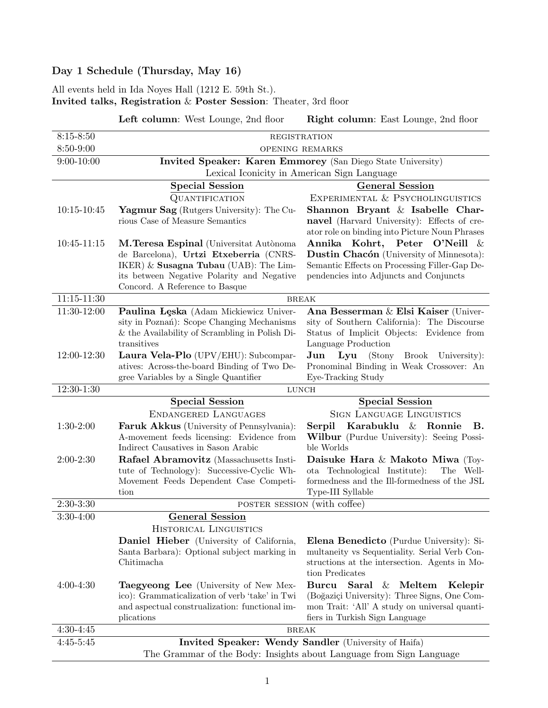# Day 1 Schedule (Thursday, May 16)

# All events held in Ida Noyes Hall (1212 E. 59th St.).

Invited talks, Registration & Poster Session: Theater, 3rd floor

Left column: West Lounge, 2nd floor Right column: East Lounge, 2nd floor

| $8:15 - 8:50$   | <b>REGISTRATION</b>                                                                                        |                                                                                               |  |
|-----------------|------------------------------------------------------------------------------------------------------------|-----------------------------------------------------------------------------------------------|--|
| 8:50-9:00       | OPENING REMARKS                                                                                            |                                                                                               |  |
| $9:00 - 10:00$  | Invited Speaker: Karen Emmorey (San Diego State University)<br>Lexical Iconicity in American Sign Language |                                                                                               |  |
|                 | <b>Special Session</b>                                                                                     | <b>General Session</b>                                                                        |  |
|                 | QUANTIFICATION                                                                                             | EXPERIMENTAL & PSYCHOLINGUISTICS                                                              |  |
| $10:15 - 10:45$ | Yagmur Sag (Rutgers University): The Cu-                                                                   | Shannon Bryant & Isabelle Char-                                                               |  |
|                 | rious Case of Measure Semantics                                                                            | navel (Harvard University): Effects of cre-                                                   |  |
|                 |                                                                                                            | ator role on binding into Picture Noun Phrases                                                |  |
| 10:45-11:15     | M.Teresa Espinal (Universitat Autònoma                                                                     | Annika Kohrt, Peter O'Neill<br>- &                                                            |  |
|                 | de Barcelona), Urtzi Etxeberria (CNRS-                                                                     | Dustin Chacón (University of Minnesota):                                                      |  |
|                 | IKER) & Susagna Tubau (UAB): The Lim-                                                                      | Semantic Effects on Processing Filler-Gap De-                                                 |  |
|                 | its between Negative Polarity and Negative<br>Concord. A Reference to Basque                               | pendencies into Adjuncts and Conjuncts                                                        |  |
| $11:15 - 11:30$ |                                                                                                            |                                                                                               |  |
| 11:30-12:00     | <b>BREAK</b><br>Paulina Lęska (Adam Mickiewicz Univer-<br>Ana Besserman & Elsi Kaiser (Univer-             |                                                                                               |  |
|                 | sity in Poznań): Scope Changing Mechanisms                                                                 | sity of Southern California): The Discourse                                                   |  |
|                 | & the Availability of Scrambling in Polish Di-                                                             | Status of Implicit Objects: Evidence from                                                     |  |
|                 | transitives                                                                                                | Language Production                                                                           |  |
| 12:00-12:30     | Laura Vela-Plo (UPV/EHU): Subcompar-                                                                       | Lyu (Stony Brook University):<br>Jun                                                          |  |
|                 | atives: Across-the-board Binding of Two De-                                                                | Pronominal Binding in Weak Crossover: An                                                      |  |
|                 | gree Variables by a Single Quantifier                                                                      | Eye-Tracking Study                                                                            |  |
| 12:30-1:30      | LUNCH                                                                                                      |                                                                                               |  |
|                 |                                                                                                            |                                                                                               |  |
|                 | <b>Special Session</b>                                                                                     | <b>Special Session</b>                                                                        |  |
|                 | ENDANGERED LANGUAGES                                                                                       | <b>SIGN LANGUAGE LINGUISTICS</b>                                                              |  |
| $1:30-2:00$     | Faruk Akkus (University of Pennsylvania):                                                                  | Karabuklu & Ronnie<br>Serpil<br>В.                                                            |  |
|                 | A-movement feeds licensing: Evidence from                                                                  | <b>Wilbur</b> (Purdue University): Seeing Possi-                                              |  |
|                 | Indirect Causatives in Sason Arabic                                                                        | ble Worlds                                                                                    |  |
| $2:00-2:30$     | Rafael Abramovitz (Massachusetts Insti-                                                                    | Daisuke Hara & Makoto Miwa (Toy-<br>ota Technological Institute):<br>The Well-                |  |
|                 | tute of Technology): Successive-Cyclic Wh-<br>Movement Feeds Dependent Case Competi-                       | formedness and the Ill-formedness of the $\operatorname{JSL}$                                 |  |
|                 | tion                                                                                                       | Type-III Syllable                                                                             |  |
| $2:30-3:30$     | POSTER SESSION (with coffee)                                                                               |                                                                                               |  |
| $3:30-4:00$     | <b>General Session</b>                                                                                     |                                                                                               |  |
|                 | HISTORICAL LINGUISTICS                                                                                     |                                                                                               |  |
|                 | <b>Daniel Hieber</b> (University of California,                                                            | <b>Elena Benedicto</b> (Purdue University): Si-                                               |  |
|                 | Santa Barbara): Optional subject marking in                                                                | multaneity vs Sequentiality. Serial Verb Con-                                                 |  |
|                 | Chitimacha                                                                                                 | structions at the intersection. Agents in Mo-                                                 |  |
|                 |                                                                                                            | tion Predicates                                                                               |  |
| $4:00-4:30$     | <b>Taegyeong Lee</b> (University of New Mex-                                                               | Saral & Meltem<br>Burcu<br>Kelepir                                                            |  |
|                 | ico): Grammaticalization of verb 'take' in Twi<br>and aspectual construalization: functional im-           | (Boğaziçi University): Three Signs, One Com-<br>mon Trait: 'All' A study on universal quanti- |  |
|                 | plications                                                                                                 | fiers in Turkish Sign Language                                                                |  |
| $4:30-4:45$     |                                                                                                            | <b>BREAK</b>                                                                                  |  |
| $4:45 - 5:45$   | Invited Speaker: Wendy Sandler (University of Haifa)                                                       |                                                                                               |  |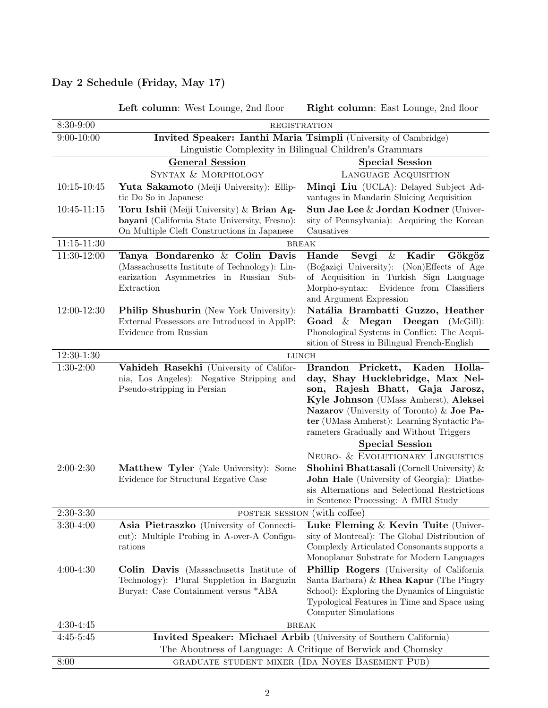## Day 2 Schedule (Friday, May 17)

|                 | Left column: West Lounge, 2nd floor                                                                                | Right column: East Lounge, 2nd floor                                                  |  |
|-----------------|--------------------------------------------------------------------------------------------------------------------|---------------------------------------------------------------------------------------|--|
| 8:30-9:00       | REGISTRATION                                                                                                       |                                                                                       |  |
| $9:00 - 10:00$  | Invited Speaker: Ianthi Maria Tsimpli (University of Cambridge)                                                    |                                                                                       |  |
|                 |                                                                                                                    | Linguistic Complexity in Bilingual Children's Grammars                                |  |
|                 | <b>General Session</b>                                                                                             | <b>Special Session</b>                                                                |  |
|                 | SYNTAX & MORPHOLOGY                                                                                                | LANGUAGE ACQUISITION                                                                  |  |
| $10:15 - 10:45$ | Yuta Sakamoto (Meiji University): Ellip-                                                                           | Minqi Liu (UCLA): Delayed Subject Ad-                                                 |  |
|                 | tic Do So in Japanese                                                                                              | vantages in Mandarin Sluicing Acquisition                                             |  |
| $10:45 - 11:15$ | Toru Ishii (Meiji University) & Brian Ag-                                                                          | Sun Jae Lee & Jordan Kodner (Univer-                                                  |  |
|                 | bayani (California State University, Fresno):                                                                      | sity of Pennsylvania): Acquiring the Korean                                           |  |
|                 | On Multiple Cleft Constructions in Japanese                                                                        | Causatives                                                                            |  |
| 11:15-11:30     |                                                                                                                    | <b>BREAK</b>                                                                          |  |
| 11:30-12:00     | Tanya Bondarenko & Colin Davis<br>(Massachusetts Institute of Technology): Lin-                                    | Hande<br>Kadir<br>Gökgöz<br>Sevgi<br>&<br>(Boğaziçi University): (Non)Effects of Age  |  |
|                 | earization Asymmetries in Russian Sub-                                                                             | of Acquisition in Turkish Sign Language                                               |  |
|                 | Extraction                                                                                                         | Evidence from Classifiers<br>Morpho-syntax:                                           |  |
|                 |                                                                                                                    | and Argument Expression                                                               |  |
| 12:00-12:30     | Philip Shushurin (New York University):                                                                            | Natália Brambatti Guzzo, Heather                                                      |  |
|                 | External Possessors are Introduced in ApplP:                                                                       | Goad $\&$ Megan Deegan (McGill):                                                      |  |
|                 | Evidence from Russian                                                                                              | Phonological Systems in Conflict: The Acqui-                                          |  |
|                 |                                                                                                                    | sition of Stress in Bilingual French-English                                          |  |
| 12:30-1:30      |                                                                                                                    | <b>LUNCH</b>                                                                          |  |
| $1:30-2:00$     | Vahideh Rasekhi (University of Califor-                                                                            | Brandon Prickett, Kaden Holla-                                                        |  |
|                 | nia, Los Angeles): Negative Stripping and<br>Pseudo-stripping in Persian                                           | day, Shay Hucklebridge, Max Nel-<br>Rajesh Bhatt, Gaja Jarosz,<br>son,                |  |
|                 |                                                                                                                    | Kyle Johnson (UMass Amherst), Aleksei                                                 |  |
|                 |                                                                                                                    | Nazarov (University of Toronto) & Joe Pa-                                             |  |
|                 |                                                                                                                    | ter (UMass Amherst): Learning Syntactic Pa-                                           |  |
|                 |                                                                                                                    | rameters Gradually and Without Triggers                                               |  |
|                 |                                                                                                                    | <b>Special Session</b>                                                                |  |
|                 |                                                                                                                    | NEURO- & EVOLUTIONARY LINGUISTICS                                                     |  |
| $2:00-2:30$     | <b>Matthew Tyler</b> (Yale University): Some                                                                       | <b>Shohini Bhattasali</b> (Cornell University) $\&$                                   |  |
|                 | Evidence for Structural Ergative Case                                                                              | John Hale (University of Georgia): Diathe-                                            |  |
|                 |                                                                                                                    | sis Alternations and Selectional Restrictions<br>in Sentence Processing: A fMRI Study |  |
| $2:30-3:30$     |                                                                                                                    |                                                                                       |  |
| $3:30-4:00$     | POSTER SESSION (with coffee)<br>Luke Fleming $\&$ Kevin Tuite (Univer-<br>Asia Pietraszko (University of Connecti- |                                                                                       |  |
|                 | cut): Multiple Probing in A-over-A Configu-                                                                        | sity of Montreal): The Global Distribution of                                         |  |
|                 | rations                                                                                                            | Complexly Articulated Consonants supports a                                           |  |
|                 |                                                                                                                    | Monoplanar Substrate for Modern Languages                                             |  |
| $4:00-4:30$     | Colin Davis (Massachusetts Institute of                                                                            | <b>Phillip Rogers</b> (University of California)                                      |  |
|                 | Technology): Plural Suppletion in Barguzin                                                                         | Santa Barbara) & Rhea Kapur (The Pingry                                               |  |
|                 | Buryat: Case Containment versus *ABA                                                                               | School): Exploring the Dynamics of Linguistic                                         |  |
|                 |                                                                                                                    | Typological Features in Time and Space using                                          |  |
| $4:30-4:45$     | Computer Simulations                                                                                               |                                                                                       |  |
| $4:45-5:45$     | <b>BREAK</b>                                                                                                       |                                                                                       |  |
|                 | Invited Speaker: Michael Arbib (University of Southern California)                                                 |                                                                                       |  |
| 8:00            | The Aboutness of Language: A Critique of Berwick and Chomsky<br>GRADUATE STUDENT MIXER (IDA NOYES BASEMENT PUB)    |                                                                                       |  |
|                 |                                                                                                                    |                                                                                       |  |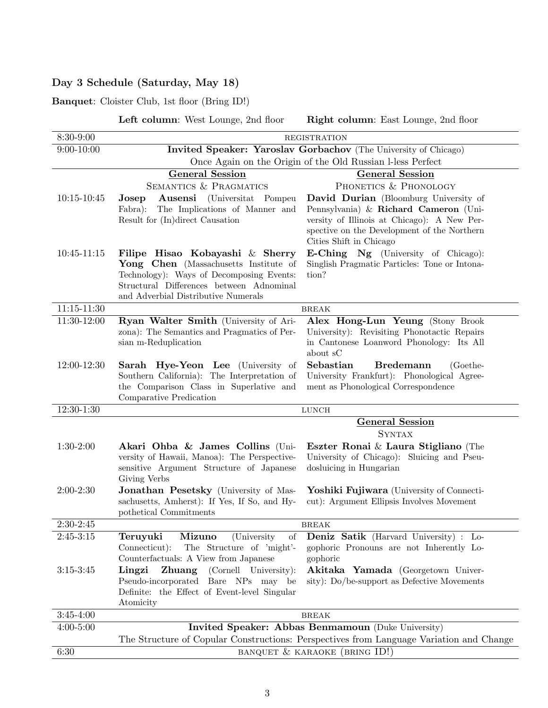## Day 3 Schedule (Saturday, May 18)

Banquet: Cloister Club, 1st floor (Bring ID!)

Left column: West Lounge, 2nd floor Right column: East Lounge, 2nd floor

| 8:30-9:00       | <b>REGISTRATION</b>                                                                                                                                                                                     |                                                                                                                                                                                                         |  |
|-----------------|---------------------------------------------------------------------------------------------------------------------------------------------------------------------------------------------------------|---------------------------------------------------------------------------------------------------------------------------------------------------------------------------------------------------------|--|
| $9:00 - 10:00$  | Invited Speaker: Yaroslav Gorbachov (The University of Chicago)                                                                                                                                         |                                                                                                                                                                                                         |  |
|                 | Once Again on the Origin of the Old Russian I-less Perfect                                                                                                                                              |                                                                                                                                                                                                         |  |
|                 | <b>General Session</b>                                                                                                                                                                                  | <b>General Session</b>                                                                                                                                                                                  |  |
|                 | <b>SEMANTICS &amp; PRAGMATICS</b>                                                                                                                                                                       | PHONETICS & PHONOLOGY                                                                                                                                                                                   |  |
| $10:15 - 10:45$ | Ausensi<br>(Universitat Pompeu<br>Josep<br>The Implications of Manner and<br>Fabra):<br>Result for (In)direct Causation                                                                                 | David Durian (Bloomburg University of<br>Pennsylvania) & Richard Cameron (Uni-<br>versity of Illinois at Chicago): A New Per-<br>spective on the Development of the Northern<br>Cities Shift in Chicago |  |
| $10:45 - 11:15$ | Filipe Hisao Kobayashi & Sherry<br>Yong Chen (Massachusetts Institute of<br>Technology): Ways of Decomposing Events:<br>Structural Differences between Adnominal<br>and Adverbial Distributive Numerals | <b>E-Ching Ng</b> (University of Chicago):<br>Singlish Pragmatic Particles: Tone or Intona-<br>tion?                                                                                                    |  |
| $11:15 - 11:30$ | <b>BREAK</b>                                                                                                                                                                                            |                                                                                                                                                                                                         |  |
| 11:30-12:00     | Ryan Walter Smith (University of Ari-<br>zona): The Semantics and Pragmatics of Per-<br>sian m-Reduplication                                                                                            | Alex Hong-Lun Yeung (Stony Brook<br>University): Revisiting Phonotactic Repairs<br>in Cantonese Loanword Phonology: Its All<br>about sC                                                                 |  |
| 12:00-12:30     | Sarah Hye-Yeon Lee (University of<br>Southern California): The Interpretation of<br>the Comparison Class in Superlative and<br>Comparative Predication                                                  | Sebastian<br><b>Bredemann</b><br>(Goethe-<br>University Frankfurt): Phonological Agree-<br>ment as Phonological Correspondence                                                                          |  |
| $12:30-1:30$    |                                                                                                                                                                                                         | <b>LUNCH</b>                                                                                                                                                                                            |  |
|                 | <b>General Session</b><br><b>SYNTAX</b>                                                                                                                                                                 |                                                                                                                                                                                                         |  |
| $1:30-2:00$     | Akari Ohba & James Collins (Uni-<br>versity of Hawaii, Manoa): The Perspective-<br>sensitive Argument Structure of Japanese<br>Giving Verbs                                                             | Eszter Ronai & Laura Stigliano (The<br>University of Chicago): Sluicing and Pseu-<br>dosluicing in Hungarian                                                                                            |  |
| $2:00-2:30$     | Jonathan Pesetsky (University of Mas-<br>sachusetts, Amherst): If Yes, If So, and Hy-<br>pothetical Commitments                                                                                         | Yoshiki Fujiwara (University of Connecti-<br>cut): Argument Ellipsis Involves Movement                                                                                                                  |  |
| $2:30-2:45$     | <b>BREAK</b>                                                                                                                                                                                            |                                                                                                                                                                                                         |  |
| $2:45-3:15$     | Teruyuki<br>Mizuno<br>(University)<br>οf<br>Connecticut):<br>The Structure of 'might'-<br>Counterfactuals: A View from Japanese                                                                         | <b>Deniz Satik</b> (Harvard University) : Lo-<br>gophoric Pronouns are not Inherently Lo-<br>gophoric                                                                                                   |  |
| $3:15-3:45$     | Lingzi<br><b>Zhuang</b><br>(Cornell University):<br>Pseudo-incorporated Bare NPs may be<br>Definite: the Effect of Event-level Singular<br>Atomicity                                                    | Akitaka Yamada (Georgetown Univer-<br>sity): Do/be-support as Defective Movements                                                                                                                       |  |
| $3:45-4:00$     | $\operatorname{BREAK}$                                                                                                                                                                                  |                                                                                                                                                                                                         |  |
| $4:00 - 5:00$   | Invited Speaker: Abbas Benmamoun (Duke University)<br>The Structure of Copular Constructions: Perspectives from Language Variation and Change                                                           |                                                                                                                                                                                                         |  |
| 6:30            | BANQUET & KARAOKE (BRING ID!)                                                                                                                                                                           |                                                                                                                                                                                                         |  |